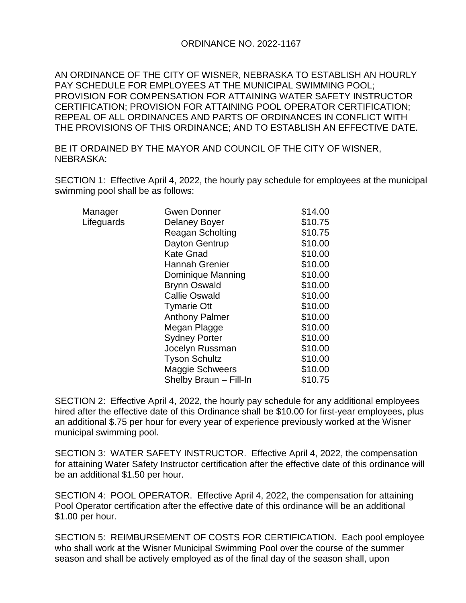## ORDINANCE NO. 2022-1167

AN ORDINANCE OF THE CITY OF WISNER, NEBRASKA TO ESTABLISH AN HOURLY PAY SCHEDULE FOR EMPLOYEES AT THE MUNICIPAL SWIMMING POOL; PROVISION FOR COMPENSATION FOR ATTAINING WATER SAFETY INSTRUCTOR CERTIFICATION; PROVISION FOR ATTAINING POOL OPERATOR CERTIFICATION; REPEAL OF ALL ORDINANCES AND PARTS OF ORDINANCES IN CONFLICT WITH THE PROVISIONS OF THIS ORDINANCE; AND TO ESTABLISH AN EFFECTIVE DATE.

BE IT ORDAINED BY THE MAYOR AND COUNCIL OF THE CITY OF WISNER, NEBRASKA:

SECTION 1: Effective April 4, 2022, the hourly pay schedule for employees at the municipal swimming pool shall be as follows:

| Manager    | Gwen Donner             | \$14.00 |
|------------|-------------------------|---------|
| Lifeguards | Delaney Boyer           | \$10.75 |
|            | <b>Reagan Scholting</b> | \$10.75 |
|            | Dayton Gentrup          | \$10.00 |
|            | <b>Kate Gnad</b>        | \$10.00 |
|            | <b>Hannah Grenier</b>   | \$10.00 |
|            | Dominique Manning       | \$10.00 |
|            | <b>Brynn Oswald</b>     | \$10.00 |
|            | <b>Callie Oswald</b>    | \$10.00 |
|            | <b>Tymarie Ott</b>      | \$10.00 |
|            | <b>Anthony Palmer</b>   | \$10.00 |
|            | Megan Plagge            | \$10.00 |
|            | <b>Sydney Porter</b>    | \$10.00 |
|            | Jocelyn Russman         | \$10.00 |
|            | <b>Tyson Schultz</b>    | \$10.00 |
|            | <b>Maggie Schweers</b>  | \$10.00 |
|            | Shelby Braun - Fill-In  | \$10.75 |
|            |                         |         |

SECTION 2: Effective April 4, 2022, the hourly pay schedule for any additional employees hired after the effective date of this Ordinance shall be \$10.00 for first-year employees, plus an additional \$.75 per hour for every year of experience previously worked at the Wisner municipal swimming pool.

SECTION 3: WATER SAFETY INSTRUCTOR. Effective April 4, 2022, the compensation for attaining Water Safety Instructor certification after the effective date of this ordinance will be an additional \$1.50 per hour.

SECTION 4: POOL OPERATOR. Effective April 4, 2022, the compensation for attaining Pool Operator certification after the effective date of this ordinance will be an additional \$1.00 per hour.

SECTION 5: REIMBURSEMENT OF COSTS FOR CERTIFICATION. Each pool employee who shall work at the Wisner Municipal Swimming Pool over the course of the summer season and shall be actively employed as of the final day of the season shall, upon